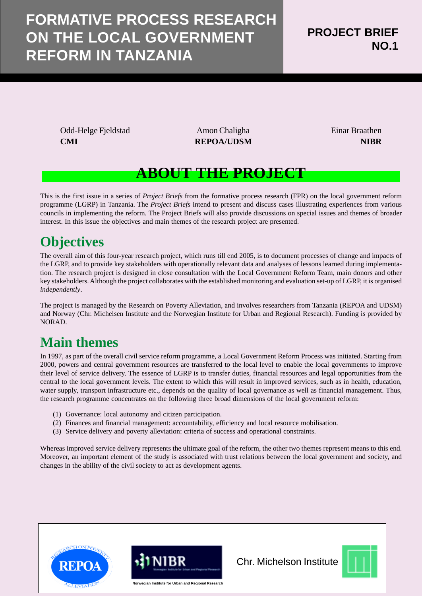# **FORMATIVE PROCESS RESEARCH ON THE LOCAL GOVERNMENT REFORM IN TANZANIA**

Odd-Helge Fjeldstad Amon Chaligha Einar Braathen **CMI REPOA/UDSM REPOA/UDSM NIBR** 

## **ABOUT THE PROJECT**

This is the first issue in a series of *Project Briefs* from the formative process research (FPR) on the local government reform programme (LGRP) in Tanzania. The *Project Briefs* intend to present and discuss cases illustrating experiences from various councils in implementing the reform. The Project Briefs will also provide discussions on special issues and themes of broader interest. In this issue the objectives and main themes of the research project are presented.

## **Objectives**

The overall aim of this four-year research project, which runs till end 2005, is to document processes of change and impacts of the LGRP, and to provide key stakeholders with operationally relevant data and analyses of lessons learned during implementation. The research project is designed in close consultation with the Local Government Reform Team, main donors and other key stakeholders. Although the project collaborates with the established monitoring and evaluation set-up of LGRP, it is organised *independently*.

The project is managed by the Research on Poverty Alleviation, and involves researchers from Tanzania (REPOA and UDSM) and Norway (Chr. Michelsen Institute and the Norwegian Institute for Urban and Regional Research). Funding is provided by NORAD.

## **Main themes**

In 1997, as part of the overall civil service reform programme, a Local Government Reform Process was initiated. Starting from 2000, powers and central government resources are transferred to the local level to enable the local governments to improve their level of service delivery. The essence of LGRP is to transfer duties, financial resources and legal opportunities from the central to the local government levels. The extent to which this will result in improved services, such as in health, education, water supply, transport infrastructure etc., depends on the quality of local governance as well as financial management. Thus, the research programme concentrates on the following three broad dimensions of the local government reform:

- (1) Governance: local autonomy and citizen participation.
- (2) Finances and financial management: accountability, efficiency and local resource mobilisation.
- (3) Service delivery and poverty alleviation: criteria of success and operational constraints.

Whereas improved service delivery represents the ultimate goal of the reform, the other two themes represent means to this end. Moreover, an important element of the study is associated with trust relations between the local government and society, and changes in the ability of the civil society to act as development agents.